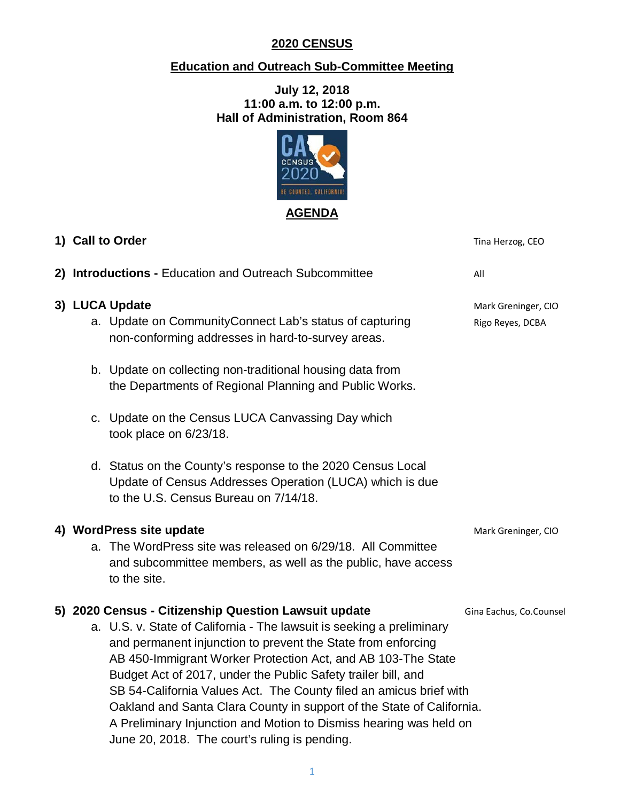## **2020 CENSUS**

## **Education and Outreach Sub-Committee Meeting**

**July 12, 2018 11:00 a.m. to 12:00 p.m. Hall of Administration, Room 864**



|  | 1) Call to Order                                                                                                                                                                                                                                                                                                                                                                                                                                                                                                                             | Tina Herzog, CEO                        |
|--|----------------------------------------------------------------------------------------------------------------------------------------------------------------------------------------------------------------------------------------------------------------------------------------------------------------------------------------------------------------------------------------------------------------------------------------------------------------------------------------------------------------------------------------------|-----------------------------------------|
|  | 2) Introductions - Education and Outreach Subcommittee                                                                                                                                                                                                                                                                                                                                                                                                                                                                                       | All                                     |
|  | 3) LUCA Update<br>a. Update on CommunityConnect Lab's status of capturing<br>non-conforming addresses in hard-to-survey areas.                                                                                                                                                                                                                                                                                                                                                                                                               | Mark Greninger, CIO<br>Rigo Reyes, DCBA |
|  | b. Update on collecting non-traditional housing data from<br>the Departments of Regional Planning and Public Works.                                                                                                                                                                                                                                                                                                                                                                                                                          |                                         |
|  | c. Update on the Census LUCA Canvassing Day which<br>took place on 6/23/18.                                                                                                                                                                                                                                                                                                                                                                                                                                                                  |                                         |
|  | d. Status on the County's response to the 2020 Census Local<br>Update of Census Addresses Operation (LUCA) which is due<br>to the U.S. Census Bureau on 7/14/18.                                                                                                                                                                                                                                                                                                                                                                             |                                         |
|  | 4) WordPress site update                                                                                                                                                                                                                                                                                                                                                                                                                                                                                                                     | Mark Greninger, CIO                     |
|  | a. The WordPress site was released on 6/29/18. All Committee<br>and subcommittee members, as well as the public, have access<br>to the site.                                                                                                                                                                                                                                                                                                                                                                                                 |                                         |
|  | 5) 2020 Census - Citizenship Question Lawsuit update                                                                                                                                                                                                                                                                                                                                                                                                                                                                                         | Gina Eachus, Co.Counsel                 |
|  | a. U.S. v. State of California - The lawsuit is seeking a preliminary<br>and permanent injunction to prevent the State from enforcing<br>AB 450-Immigrant Worker Protection Act, and AB 103-The State<br>Budget Act of 2017, under the Public Safety trailer bill, and<br>SB 54-California Values Act. The County filed an amicus brief with<br>Oakland and Santa Clara County in support of the State of California.<br>A Preliminary Injunction and Motion to Dismiss hearing was held on<br>June 20, 2018. The court's ruling is pending. |                                         |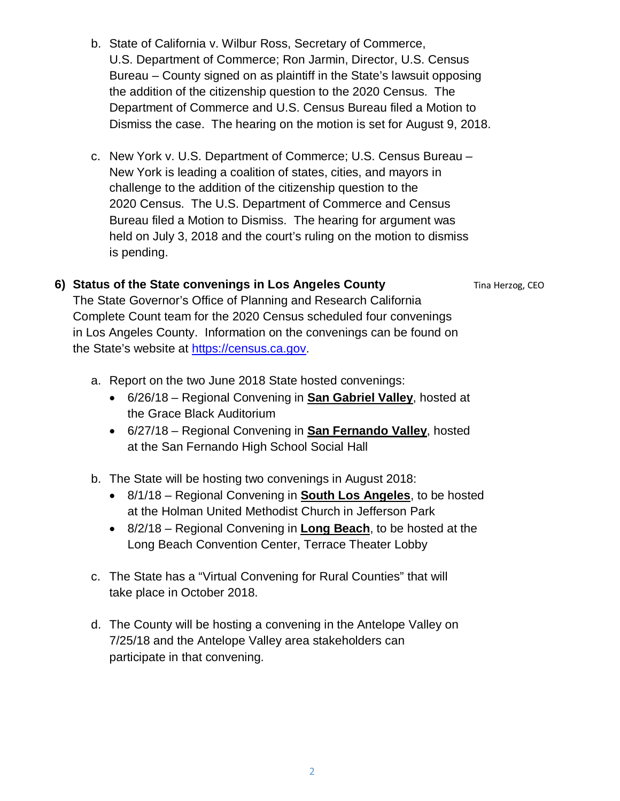2

- b. State of California v. Wilbur Ross, Secretary of Commerce, U.S. Department of Commerce; Ron Jarmin, Director, U.S. Census Bureau – County signed on as plaintiff in the State's lawsuit opposing the addition of the citizenship question to the 2020 Census. The Department of Commerce and U.S. Census Bureau filed a Motion to Dismiss the case. The hearing on the motion is set for August 9, 2018.
- c. New York v. U.S. Department of Commerce; U.S. Census Bureau New York is leading a coalition of states, cities, and mayors in challenge to the addition of the citizenship question to the 2020 Census. The U.S. Department of Commerce and Census Bureau filed a Motion to Dismiss. The hearing for argument was held on July 3, 2018 and the court's ruling on the motion to dismiss is pending.

## **6) Status of the State convenings in Los Angeles County** Tina Herzog, CEO

The State Governor's Office of Planning and Research California Complete Count team for the 2020 Census scheduled four convenings in Los Angeles County. Information on the convenings can be found on the State's website at [https://census.ca.gov.](https://census.ca.gov/)

- a. Report on the two June 2018 State hosted convenings:
	- 6/26/18 Regional Convening in **San Gabriel Valley**, hosted at the Grace Black Auditorium
	- 6/27/18 Regional Convening in **San Fernando Valley**, hosted at the San Fernando High School Social Hall
- b. The State will be hosting two convenings in August 2018:
	- 8/1/18 Regional Convening in **South Los Angeles**, to be hosted at the Holman United Methodist Church in Jefferson Park
	- 8/2/18 Regional Convening in **Long Beach**, to be hosted at the Long Beach Convention Center, Terrace Theater Lobby
- c. The State has a "Virtual Convening for Rural Counties" that will take place in October 2018.
- d. The County will be hosting a convening in the Antelope Valley on 7/25/18 and the Antelope Valley area stakeholders can participate in that convening.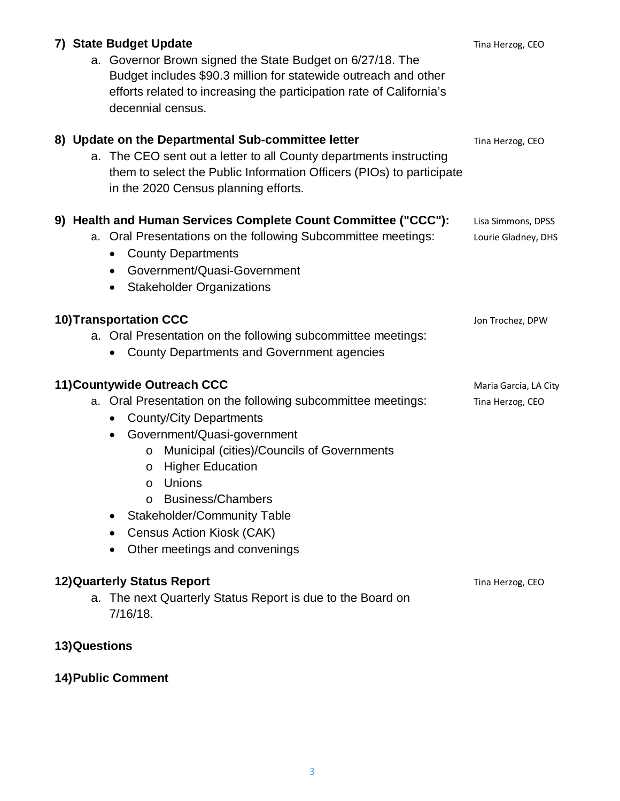| 7) State Budget Update<br>a. Governor Brown signed the State Budget on 6/27/18. The<br>Budget includes \$90.3 million for statewide outreach and other<br>efforts related to increasing the participation rate of California's<br>decennial census.                                                                                                                                                                                      | Tina Herzog, CEO                          |
|------------------------------------------------------------------------------------------------------------------------------------------------------------------------------------------------------------------------------------------------------------------------------------------------------------------------------------------------------------------------------------------------------------------------------------------|-------------------------------------------|
| 8) Update on the Departmental Sub-committee letter<br>a. The CEO sent out a letter to all County departments instructing<br>them to select the Public Information Officers (PIOs) to participate<br>in the 2020 Census planning efforts.                                                                                                                                                                                                 | Tina Herzog, CEO                          |
| 9) Health and Human Services Complete Count Committee ("CCC"):<br>a. Oral Presentations on the following Subcommittee meetings:<br><b>County Departments</b><br>$\bullet$<br>Government/Quasi-Government<br>$\bullet$<br><b>Stakeholder Organizations</b>                                                                                                                                                                                | Lisa Simmons, DPSS<br>Lourie Gladney, DHS |
| <b>10)Transportation CCC</b><br>a. Oral Presentation on the following subcommittee meetings:<br><b>County Departments and Government agencies</b>                                                                                                                                                                                                                                                                                        | Jon Trochez, DPW                          |
| 11) Countywide Outreach CCC<br>a. Oral Presentation on the following subcommittee meetings:<br><b>County/City Departments</b><br>$\bullet$<br>Government/Quasi-government<br>Municipal (cities)/Councils of Governments<br>$\circ$<br><b>Higher Education</b><br>O<br>Unions<br>$\circ$<br><b>Business/Chambers</b><br>$\Omega$<br><b>Stakeholder/Community Table</b><br>٠<br>Census Action Kiosk (CAK)<br>Other meetings and convenings | Maria Garcia, LA City<br>Tina Herzog, CEO |
| <b>12) Quarterly Status Report</b><br>a. The next Quarterly Status Report is due to the Board on<br>$7/16/18$ .<br>13) Questions                                                                                                                                                                                                                                                                                                         | Tina Herzog, CEO                          |

# **14)Public Comment**